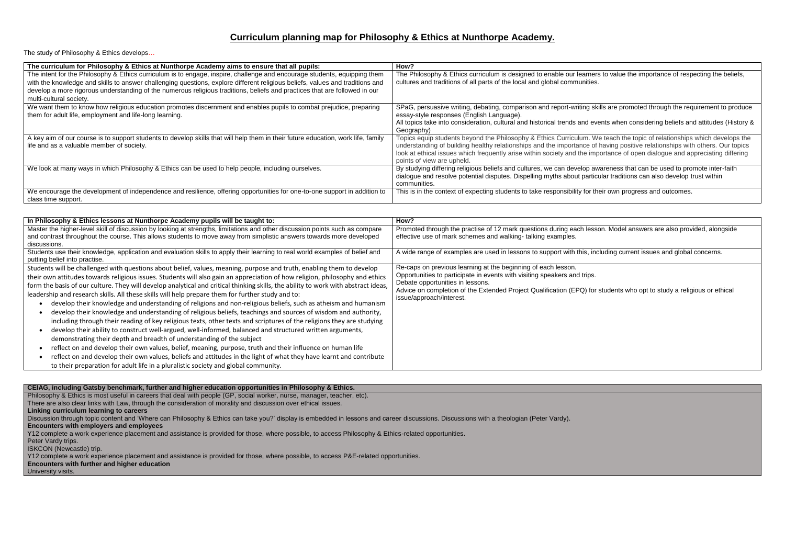# **Curriculum planning map for Philosophy & Ethics at Nunthorpe Academy.**

The study of Philosophy & Ethics develops…

| The curriculum for Philosophy & Ethics at Nunthorpe Academy aims to ensure that all pupils:                                                                                    | How?                                                                                                                                                                                                                                                  |
|--------------------------------------------------------------------------------------------------------------------------------------------------------------------------------|-------------------------------------------------------------------------------------------------------------------------------------------------------------------------------------------------------------------------------------------------------|
| The intent for the Philosophy & Ethics curriculum is to engage, inspire, challenge and encourage students, equipping them                                                      | The Philosophy & Ethics curriculum is designed to enable our learners                                                                                                                                                                                 |
| with the knowledge and skills to answer challenging questions, explore different religious beliefs, values and traditions and                                                  | cultures and traditions of all parts of the local and global communities.                                                                                                                                                                             |
| develop a more rigorous understanding of the numerous religious traditions, beliefs and practices that are followed in our                                                     |                                                                                                                                                                                                                                                       |
| multi-cultural society.                                                                                                                                                        |                                                                                                                                                                                                                                                       |
| We want them to know how religious education promotes discernment and enables pupils to combat prejudice, preparing                                                            | SPaG, persuasive writing, debating, comparison and report-writing sk                                                                                                                                                                                  |
| them for adult life, employment and life-long learning.                                                                                                                        | essay-style responses (English Language).                                                                                                                                                                                                             |
|                                                                                                                                                                                | All topics take into consideration, cultural and historical trends and eve                                                                                                                                                                            |
|                                                                                                                                                                                | Geography)                                                                                                                                                                                                                                            |
| A key aim of our course is to support students to develop skills that will help them in their future education, work life, family<br>life and as a valuable member of society. | Topics equip students beyond the Philosophy & Ethics Curriculum. W<br>understanding of building healthy relationships and the importance of<br>look at ethical issues which frequently arise within society and the imp<br>points of view are upheld. |
| We look at many ways in which Philosophy & Ethics can be used to help people, including ourselves.                                                                             | By studying differing religious beliefs and cultures, we can develop aw<br>dialogue and resolve potential disputes. Dispelling myths about partice<br>communities.                                                                                    |
| We encourage the development of independence and resilience, offering opportunities for one-to-one support in addition to<br>class time support.                               | This is in the context of expecting students to take responsibility for th                                                                                                                                                                            |

Discussion through topic content and 'Where can Philosophy & Ethics can take you?' display is embedded in lessons and career discussions. Discussions with a theologian (Peter Vardy). **Encounters with employers and employees**

| In Philosophy & Ethics lessons at Nunthorpe Academy pupils will be taught to:                                                                                                                                                                                                                                                                                                                                                                                                                                                                                                                                                                                                                                                                                                                                                                                                                                                                                                                                                                                                                                                                                                                                                                                                                                                                                                  | How?                                                                                                                                                                                                                                                                              |
|--------------------------------------------------------------------------------------------------------------------------------------------------------------------------------------------------------------------------------------------------------------------------------------------------------------------------------------------------------------------------------------------------------------------------------------------------------------------------------------------------------------------------------------------------------------------------------------------------------------------------------------------------------------------------------------------------------------------------------------------------------------------------------------------------------------------------------------------------------------------------------------------------------------------------------------------------------------------------------------------------------------------------------------------------------------------------------------------------------------------------------------------------------------------------------------------------------------------------------------------------------------------------------------------------------------------------------------------------------------------------------|-----------------------------------------------------------------------------------------------------------------------------------------------------------------------------------------------------------------------------------------------------------------------------------|
| Master the higher-level skill of discussion by looking at strengths, limitations and other discussion points such as compare<br>and contrast throughout the course. This allows students to move away from simplistic answers towards more developed<br>discussions.                                                                                                                                                                                                                                                                                                                                                                                                                                                                                                                                                                                                                                                                                                                                                                                                                                                                                                                                                                                                                                                                                                           | Promoted through the practise of 12 mark questions during each less<br>effective use of mark schemes and walking-talking examples.                                                                                                                                                |
| Students use their knowledge, application and evaluation skills to apply their learning to real world examples of belief and<br>putting belief into practise.                                                                                                                                                                                                                                                                                                                                                                                                                                                                                                                                                                                                                                                                                                                                                                                                                                                                                                                                                                                                                                                                                                                                                                                                                  | A wide range of examples are used in lessons to support with this, in                                                                                                                                                                                                             |
| Students will be challenged with questions about belief, values, meaning, purpose and truth, enabling them to develop<br>their own attitudes towards religious issues. Students will also gain an appreciation of how religion, philosophy and ethics<br>form the basis of our culture. They will develop analytical and critical thinking skills, the ability to work with abstract ideas,<br>leadership and research skills. All these skills will help prepare them for further study and to:<br>develop their knowledge and understanding of religions and non-religious beliefs, such as atheism and humanism<br>develop their knowledge and understanding of religious beliefs, teachings and sources of wisdom and authority,<br>including through their reading of key religious texts, other texts and scriptures of the religions they are studying<br>develop their ability to construct well-argued, well-informed, balanced and structured written arguments,<br>demonstrating their depth and breadth of understanding of the subject<br>reflect on and develop their own values, belief, meaning, purpose, truth and their influence on human life<br>reflect on and develop their own values, beliefs and attitudes in the light of what they have learnt and contribute<br>to their preparation for adult life in a pluralistic society and global community. | Re-caps on previous learning at the beginning of each lesson.<br>Opportunities to participate in events with visiting speakers and trips.<br>Debate opportunities in lessons.<br>Advice on completion of the Extended Project Qualification (EPQ) for<br>issue/approach/interest. |

## **CEIAG, including Gatsby benchmark, further and higher education opportunities in Philosophy & Ethics.**

Philosophy & Ethics is most useful in careers that deal with people (GP, social worker, nurse, manager, teacher, etc).

There are also clear links with Law, through the consideration of morality and discussion over ethical issues.

**Linking curriculum learning to careers**

Y12 complete a work experience placement and assistance is provided for those, where possible, to access Philosophy & Ethics-related opportunities.

Peter Vardy trips.

ISKCON (Newcastle) trip.

Y12 complete a work experience placement and assistance is provided for those, where possible, to access P&E-related opportunities.

# **Encounters with further and higher education**

University visits.

ners to value the importance of respecting the beliefs,

skills are promoted through the requirement to produce

events when considering beliefs and attitudes (History &

We teach the topic of relationships which develops the of having positive relationships with others. Our topics mportance of open dialogue and appreciating differing

awareness that can be used to promote inter-faith ticular traditions can also develop trust within

If their own progress and outcomes.

esson. Model answers are also provided, alongside

including current issues and global concerns.

for students who opt to study a religious or ethical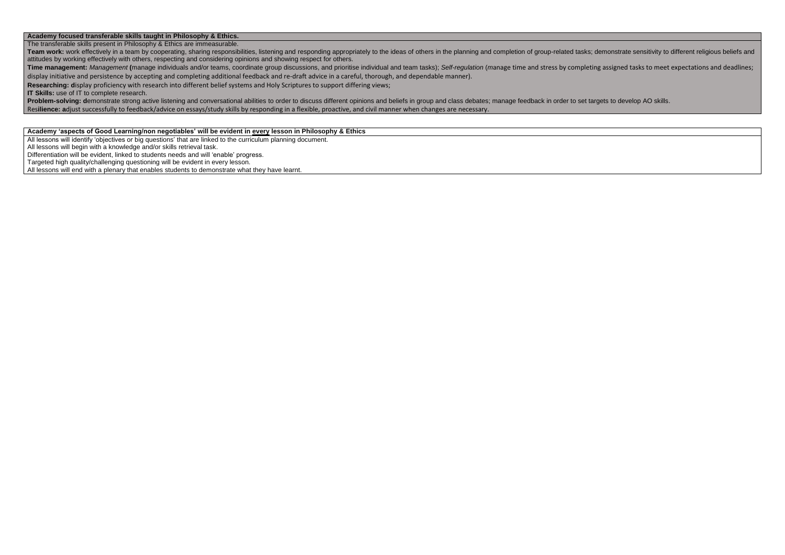### **Academy focused transferable skills taught in Philosophy & Ethics.**

The transferable skills present in Philosophy & Ethics are immeasurable.

Team work: work effectively in a team by cooperating, sharing responsibilities, listening and responding appropriately to the ideas of others in the planning and completion of group-related tasks; demonstrate sensitivity t attitudes by working effectively with others, respecting and considering opinions and showing respect for others. Time management: Management (manage individuals and/or teams, coordinate group discussions, and prioritise individual and team tasks); Self-regulation (manage time and stress by completing assigned tasks to meet expectatio

Problem-solving: demonstrate strong active listening and conversational abilities to order to discuss different opinions and beliefs in group and class debates; manage feedback in order to set targets to develop AO skills. Res**ilience: a**djust successfully to feedback/advice on essays/study skills by responding in a flexible, proactive, and civil manner when changes are necessary.

display initiative and persistence by accepting and completing additional feedback and re-draft advice in a careful, thorough, and dependable manner).

**Researching: d**isplay proficiency with research into different belief systems and Holy Scriptures to support differing views;

**IT Skills:** use of IT to complete research.

#### **Academy 'aspects of Good Learning/non negotiables' will be evident in every lesson in Philosophy & Ethics**

All lessons will identify 'objectives or big questions' that are linked to the curriculum planning document.

All lessons will begin with a knowledge and/or skills retrieval task.

Differentiation will be evident, linked to students needs and will 'enable' progress.

Targeted high quality/challenging questioning will be evident in every lesson.

All lessons will end with a plenary that enables students to demonstrate what they have learnt.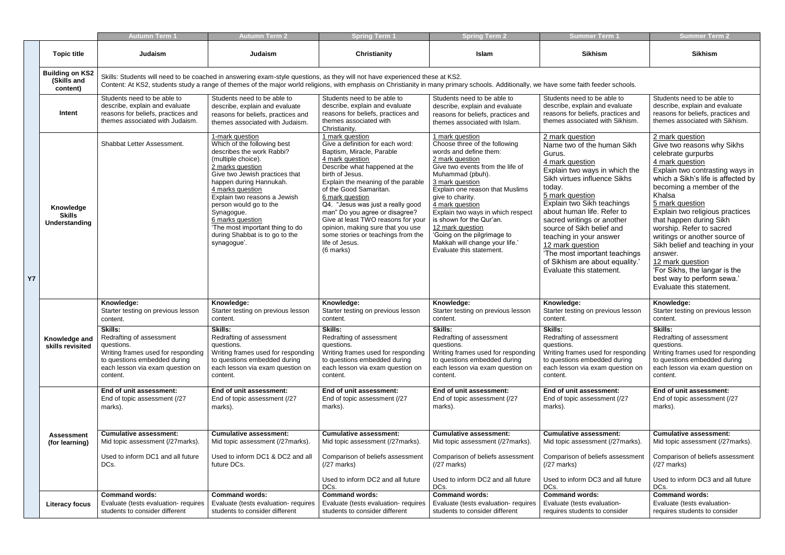|           |                                                   | <b>Autumn Term 1</b>                                                                                                                                                                                                                                                                                                   | <b>Autumn Term 2</b>                                                                                                                                                                                                                                                                                                                                                                   | <b>Spring Term</b>                                                                                                                                                                                                                                                                                                                                                                                                                                                | <b>Spring Term 2</b>                                                                                                                                                                                                                                                                                                                                                                                                                 | <b>Summer Term '</b>                                                                                                                                                                                                                                                                                                                                                                                                                           | <b>Summer Term 2</b>                                                                                                                                                                                                                                                                                                                                                                                                                                                                                              |  |  |
|-----------|---------------------------------------------------|------------------------------------------------------------------------------------------------------------------------------------------------------------------------------------------------------------------------------------------------------------------------------------------------------------------------|----------------------------------------------------------------------------------------------------------------------------------------------------------------------------------------------------------------------------------------------------------------------------------------------------------------------------------------------------------------------------------------|-------------------------------------------------------------------------------------------------------------------------------------------------------------------------------------------------------------------------------------------------------------------------------------------------------------------------------------------------------------------------------------------------------------------------------------------------------------------|--------------------------------------------------------------------------------------------------------------------------------------------------------------------------------------------------------------------------------------------------------------------------------------------------------------------------------------------------------------------------------------------------------------------------------------|------------------------------------------------------------------------------------------------------------------------------------------------------------------------------------------------------------------------------------------------------------------------------------------------------------------------------------------------------------------------------------------------------------------------------------------------|-------------------------------------------------------------------------------------------------------------------------------------------------------------------------------------------------------------------------------------------------------------------------------------------------------------------------------------------------------------------------------------------------------------------------------------------------------------------------------------------------------------------|--|--|
|           | <b>Topic title</b>                                | Judaism                                                                                                                                                                                                                                                                                                                | Judaism                                                                                                                                                                                                                                                                                                                                                                                | <b>Christianity</b>                                                                                                                                                                                                                                                                                                                                                                                                                                               | Islam                                                                                                                                                                                                                                                                                                                                                                                                                                | <b>Sikhism</b>                                                                                                                                                                                                                                                                                                                                                                                                                                 | <b>Sikhism</b>                                                                                                                                                                                                                                                                                                                                                                                                                                                                                                    |  |  |
|           | <b>Building on KS2</b><br>(Skills and<br>content) | Skills: Students will need to be coached in answering exam-style questions, as they will not have experienced these at KS2.<br>Content: At KS2, students study a range of themes of the major world religions, with emphasis on Christianity in many primary schools. Additionally, we have some faith feeder schools. |                                                                                                                                                                                                                                                                                                                                                                                        |                                                                                                                                                                                                                                                                                                                                                                                                                                                                   |                                                                                                                                                                                                                                                                                                                                                                                                                                      |                                                                                                                                                                                                                                                                                                                                                                                                                                                |                                                                                                                                                                                                                                                                                                                                                                                                                                                                                                                   |  |  |
|           | Intent                                            | Students need to be able to<br>describe, explain and evaluate<br>reasons for beliefs, practices and<br>themes associated with Judaism.                                                                                                                                                                                 | Students need to be able to<br>describe, explain and evaluate<br>reasons for beliefs, practices and<br>themes associated with Judaism.                                                                                                                                                                                                                                                 | Students need to be able to<br>describe, explain and evaluate<br>reasons for beliefs, practices and<br>themes associated with<br>Christianity.                                                                                                                                                                                                                                                                                                                    | Students need to be able to<br>describe, explain and evaluate<br>reasons for beliefs, practices and<br>themes associated with Islam.                                                                                                                                                                                                                                                                                                 | Students need to be able to<br>describe, explain and evaluate<br>reasons for beliefs, practices and<br>themes associated with Sikhism.                                                                                                                                                                                                                                                                                                         | Students need to be able to<br>describe, explain and evaluate<br>reasons for beliefs, practices and<br>themes associated with Sikhism.                                                                                                                                                                                                                                                                                                                                                                            |  |  |
| <b>Y7</b> | Knowledge<br><b>Skills</b><br>Understanding       | Shabbat Letter Assessment.                                                                                                                                                                                                                                                                                             | 1-mark question<br>Which of the following best<br>describes the work Rabbi?<br>(multiple choice).<br>2 marks question<br>Give two Jewish practices that<br>happen during Hannukah.<br>4 marks question<br>Explain two reasons a Jewish<br>person would go to the<br>Synagogue.<br>6 marks question<br>'The most important thing to do<br>during Shabbat is to go to the<br>synagogue'. | 1 mark question<br>Give a definition for each word:<br>Baptism, Miracle, Parable<br>4 mark question<br>Describe what happened at the<br>birth of Jesus.<br>Explain the meaning of the parable<br>of the Good Samaritan.<br>6 mark question<br>Q4. "Jesus was just a really good<br>man" Do you agree or disagree?<br>Give at least TWO reasons for your<br>opinion, making sure that you use<br>some stories or teachings from the<br>life of Jesus.<br>(6 marks) | 1 mark question<br>Choose three of the following<br>words and define them:<br>2 mark question<br>Give two events from the life of<br>Muhammad (pbuh).<br>3 mark question<br>Explain one reason that Muslims<br>give to charity.<br>4 mark question<br>Explain two ways in which respect<br>is shown for the Qur'an.<br>12 mark question<br>'Going on the pilgrimage to<br>Makkah will change your life.'<br>Evaluate this statement. | 2 mark question<br>Name two of the human Sikh<br>Gurus.<br>4 mark question<br>Explain two ways in which the<br>Sikh virtues influence Sikhs<br>today.<br>5 mark question<br>Explain two Sikh teachings<br>about human life. Refer to<br>sacred writings or another<br>source of Sikh belief and<br>teaching in your answer<br>12 mark question<br>'The most important teachings<br>of Sikhism are about equality.'<br>Evaluate this statement. | 2 mark question<br>Give two reasons why Sikhs<br>celebrate gurpurbs<br>4 mark question<br>Explain two contrasting ways in<br>which a Sikh's life is affected by<br>becoming a member of the<br>Khalsa<br>5 mark question<br>Explain two religious practices<br>that happen during Sikh<br>worship. Refer to sacred<br>writings or another source of<br>Sikh belief and teaching in your<br>answer.<br>12 mark question<br>'For Sikhs, the langar is the<br>best way to perform sewa.'<br>Evaluate this statement. |  |  |
|           |                                                   | Knowledge:<br>Starter testing on previous lesson<br>content.                                                                                                                                                                                                                                                           | Knowledge:<br>Starter testing on previous lesson<br>content.                                                                                                                                                                                                                                                                                                                           | Knowledge:<br>Starter testing on previous lesson<br>content.                                                                                                                                                                                                                                                                                                                                                                                                      | Knowledge:<br>Starter testing on previous lesson<br>content.                                                                                                                                                                                                                                                                                                                                                                         | Knowledge:<br>Starter testing on previous lesson<br>content.                                                                                                                                                                                                                                                                                                                                                                                   | Knowledge:<br>Starter testing on previous lesson<br>content.                                                                                                                                                                                                                                                                                                                                                                                                                                                      |  |  |
|           | Knowledge and<br>skills revisited                 | <b>Skills:</b><br>Redrafting of assessment<br>questions.<br>Writing frames used for responding<br>to questions embedded during<br>each lesson via exam question on<br>content.                                                                                                                                         | Skills:<br>Redrafting of assessment<br>questions.<br>Writing frames used for responding<br>to questions embedded during<br>each lesson via exam question on<br>content.                                                                                                                                                                                                                | Skills:<br>Redrafting of assessment<br>questions.<br>Writing frames used for responding<br>to questions embedded during<br>each lesson via exam question on<br>content.                                                                                                                                                                                                                                                                                           | Skills:<br>Redrafting of assessment<br>questions.<br>Writing frames used for responding<br>to questions embedded during<br>each lesson via exam question on<br>content.                                                                                                                                                                                                                                                              | Skills:<br>Redrafting of assessment<br>questions.<br>Writing frames used for responding<br>to questions embedded during<br>each lesson via exam question on<br>content.                                                                                                                                                                                                                                                                        | Skills:<br>Redrafting of assessment<br>questions.<br>Writing frames used for responding<br>to questions embedded during<br>each lesson via exam question on<br>content.                                                                                                                                                                                                                                                                                                                                           |  |  |
|           |                                                   | End of unit assessment:<br>End of topic assessment (/27<br>marks).                                                                                                                                                                                                                                                     | End of unit assessment:<br>End of topic assessment (/27<br>marks).                                                                                                                                                                                                                                                                                                                     | End of unit assessment:<br>End of topic assessment (/27<br>marks).                                                                                                                                                                                                                                                                                                                                                                                                | End of unit assessment:<br>End of topic assessment (/27<br>marks).                                                                                                                                                                                                                                                                                                                                                                   | End of unit assessment:<br>End of topic assessment (/27<br>marks).                                                                                                                                                                                                                                                                                                                                                                             | End of unit assessment:<br>End of topic assessment (/27<br>marks).                                                                                                                                                                                                                                                                                                                                                                                                                                                |  |  |
|           | <b>Assessment</b><br>(for learning)               | <b>Cumulative assessment:</b><br>Mid topic assessment (/27marks).                                                                                                                                                                                                                                                      | <b>Cumulative assessment:</b><br>Mid topic assessment (/27marks).                                                                                                                                                                                                                                                                                                                      | <b>Cumulative assessment:</b><br>Mid topic assessment (/27marks).                                                                                                                                                                                                                                                                                                                                                                                                 | <b>Cumulative assessment:</b><br>Mid topic assessment (/27marks).                                                                                                                                                                                                                                                                                                                                                                    | <b>Cumulative assessment:</b><br>Mid topic assessment (/27marks).                                                                                                                                                                                                                                                                                                                                                                              | <b>Cumulative assessment:</b><br>Mid topic assessment (/27marks).                                                                                                                                                                                                                                                                                                                                                                                                                                                 |  |  |
|           |                                                   | Used to inform DC1 and all future<br>DCs.                                                                                                                                                                                                                                                                              | Used to inform DC1 & DC2 and all<br>future DCs.                                                                                                                                                                                                                                                                                                                                        | Comparison of beliefs assessment<br>$(27$ marks)                                                                                                                                                                                                                                                                                                                                                                                                                  | Comparison of beliefs assessment<br>$(27$ marks)                                                                                                                                                                                                                                                                                                                                                                                     | Comparison of beliefs assessment<br>$(27 \text{ marks})$                                                                                                                                                                                                                                                                                                                                                                                       | Comparison of beliefs assessment<br>$(27 \text{ marks})$                                                                                                                                                                                                                                                                                                                                                                                                                                                          |  |  |
|           |                                                   |                                                                                                                                                                                                                                                                                                                        |                                                                                                                                                                                                                                                                                                                                                                                        | Used to inform DC2 and all future<br>DCs.                                                                                                                                                                                                                                                                                                                                                                                                                         | Used to inform DC2 and all future<br>DCs.                                                                                                                                                                                                                                                                                                                                                                                            | Used to inform DC3 and all future<br>DCs.                                                                                                                                                                                                                                                                                                                                                                                                      | Used to inform DC3 and all future<br>DCs.                                                                                                                                                                                                                                                                                                                                                                                                                                                                         |  |  |
|           | <b>Literacy focus</b>                             | <b>Command words:</b><br>Evaluate (tests evaluation- requires<br>students to consider different                                                                                                                                                                                                                        | <b>Command words:</b><br>Evaluate (tests evaluation- requires<br>students to consider different                                                                                                                                                                                                                                                                                        | <b>Command words:</b><br>Evaluate (tests evaluation- requires<br>students to consider different                                                                                                                                                                                                                                                                                                                                                                   | <b>Command words:</b><br>Evaluate (tests evaluation- requires<br>students to consider different                                                                                                                                                                                                                                                                                                                                      | <b>Command words:</b><br>Evaluate (tests evaluation-<br>requires students to consider                                                                                                                                                                                                                                                                                                                                                          | <b>Command words:</b><br>Evaluate (tests evaluation-<br>requires students to consider                                                                                                                                                                                                                                                                                                                                                                                                                             |  |  |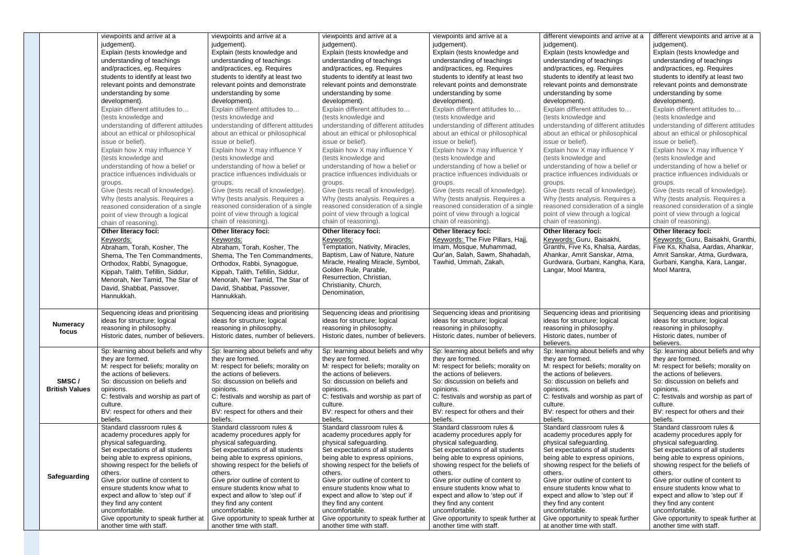|                                | viewpoints and arrive at a<br>judgement).<br>Explain (tests knowledge and<br>understanding of teachings<br>and/practices, eg. Requires<br>students to identify at least two<br>relevant points and demonstrate<br>understanding by some<br>development).<br>Explain different attitudes to<br>(tests knowledge and<br>understanding of different attitudes<br>about an ethical or philosophical<br>issue or belief).<br>Explain how X may influence Y<br>(tests knowledge and<br>understanding of how a belief or<br>practice influences individuals or<br>groups.<br>Give (tests recall of knowledge). | viewpoints and arrive at a<br>judgement).<br>Explain (tests knowledge and<br>understanding of teachings<br>and/practices, eg. Requires<br>students to identify at least two<br>relevant points and demonstrate<br>understanding by some<br>development).<br>Explain different attitudes to<br>(tests knowledge and<br>understanding of different attitudes<br>about an ethical or philosophical<br>issue or belief).<br>Explain how X may influence Y<br>(tests knowledge and<br>understanding of how a belief or<br>practice influences individuals or<br>groups.<br>Give (tests recall of knowledge). | viewpoints and arrive at a<br>judgement).<br>Explain (tests knowledge and<br>understanding of teachings<br>and/practices, eg. Requires<br>students to identify at least two<br>relevant points and demonstrate<br>understanding by some<br>development).<br>Explain different attitudes to<br>(tests knowledge and<br>understanding of different attitudes<br>about an ethical or philosophical<br>issue or belief).<br>Explain how X may influence Y<br>(tests knowledge and<br>understanding of how a belief or<br>practice influences individuals or<br>groups.<br>Give (tests recall of knowledge). | viewpoints and arrive at a<br>judgement).<br>Explain (tests knowledge and<br>understanding of teachings<br>and/practices, eg. Requires<br>students to identify at least two<br>relevant points and demonstrate<br>understanding by some<br>development).<br>Explain different attitudes to<br>(tests knowledge and<br>understanding of different attitudes<br>about an ethical or philosophical<br>issue or belief).<br>Explain how X may influence Y<br>(tests knowledge and<br>understanding of how a belief or<br>practice influences individuals or<br>groups.<br>Give (tests recall of knowledge). | different viewpoints and arrive at a<br>judgement).<br>Explain (tests knowledge and<br>understanding of teachings<br>and/practices, eg. Requires<br>students to identify at least two<br>relevant points and demonstrate<br>understanding by some<br>development).<br>Explain different attitudes to<br>(tests knowledge and<br>understanding of different attitudes<br>about an ethical or philosophical<br>issue or belief).<br>Explain how X may influence Y<br>(tests knowledge and<br>understanding of how a belief or<br>practice influences individuals or<br>groups.<br>Give (tests recall of knowledge). | different viewpoints and arrive at a<br>judgement).<br>Explain (tests knowledge and<br>understanding of teachings<br>and/practices, eg. Requires<br>students to identify at least two<br>relevant points and demonstrate<br>understanding by some<br>development).<br>Explain different attitudes to<br>(tests knowledge and<br>understanding of different attitudes<br>about an ethical or philosophical<br>issue or belief).<br>Explain how X may influence Y<br>(tests knowledge and<br>understanding of how a belief or<br>practice influences individuals or<br>groups.<br>Give (tests recall of knowledge). |
|--------------------------------|---------------------------------------------------------------------------------------------------------------------------------------------------------------------------------------------------------------------------------------------------------------------------------------------------------------------------------------------------------------------------------------------------------------------------------------------------------------------------------------------------------------------------------------------------------------------------------------------------------|---------------------------------------------------------------------------------------------------------------------------------------------------------------------------------------------------------------------------------------------------------------------------------------------------------------------------------------------------------------------------------------------------------------------------------------------------------------------------------------------------------------------------------------------------------------------------------------------------------|---------------------------------------------------------------------------------------------------------------------------------------------------------------------------------------------------------------------------------------------------------------------------------------------------------------------------------------------------------------------------------------------------------------------------------------------------------------------------------------------------------------------------------------------------------------------------------------------------------|---------------------------------------------------------------------------------------------------------------------------------------------------------------------------------------------------------------------------------------------------------------------------------------------------------------------------------------------------------------------------------------------------------------------------------------------------------------------------------------------------------------------------------------------------------------------------------------------------------|-------------------------------------------------------------------------------------------------------------------------------------------------------------------------------------------------------------------------------------------------------------------------------------------------------------------------------------------------------------------------------------------------------------------------------------------------------------------------------------------------------------------------------------------------------------------------------------------------------------------|-------------------------------------------------------------------------------------------------------------------------------------------------------------------------------------------------------------------------------------------------------------------------------------------------------------------------------------------------------------------------------------------------------------------------------------------------------------------------------------------------------------------------------------------------------------------------------------------------------------------|
|                                | Why (tests analysis. Requires a<br>reasoned consideration of a single<br>point of view through a logical<br>chain of reasoning).                                                                                                                                                                                                                                                                                                                                                                                                                                                                        | Why (tests analysis. Requires a<br>reasoned consideration of a single<br>point of view through a logical<br>chain of reasoning).                                                                                                                                                                                                                                                                                                                                                                                                                                                                        | Why (tests analysis. Requires a<br>reasoned consideration of a single<br>point of view through a logical<br>chain of reasoning).                                                                                                                                                                                                                                                                                                                                                                                                                                                                        | Why (tests analysis. Requires a<br>reasoned consideration of a single<br>point of view through a logical<br>chain of reasoning).                                                                                                                                                                                                                                                                                                                                                                                                                                                                        | Why (tests analysis. Requires a<br>reasoned consideration of a single<br>point of view through a logical<br>chain of reasoning).                                                                                                                                                                                                                                                                                                                                                                                                                                                                                  | Why (tests analysis. Requires a<br>reasoned consideration of a single<br>point of view through a logical<br>chain of reasoning).                                                                                                                                                                                                                                                                                                                                                                                                                                                                                  |
|                                | Other literacy foci:<br>Keywords:<br>Abraham, Torah, Kosher, The<br>Shema, The Ten Commandments,<br>Orthodox, Rabbi, Synagogue,<br>Kippah, Talith, Tefillin, Siddur,<br>Menorah, Ner Tamid, The Star of<br>David, Shabbat, Passover,<br>Hannukkah.                                                                                                                                                                                                                                                                                                                                                      | Other literacy foci:<br>Keywords:<br>Abraham, Torah, Kosher, The<br>Shema, The Ten Commandments,<br>Orthodox, Rabbi, Synagogue,<br>Kippah, Talith, Tefillin, Siddur,<br>Menorah, Ner Tamid, The Star of<br>David, Shabbat, Passover,<br>Hannukkah.                                                                                                                                                                                                                                                                                                                                                      | <b>Other literacy foci:</b><br>Keywords:<br>Temptation, Nativity, Miracles,<br>Baptism, Law of Nature, Nature<br>Miracle, Healing Miracle, Symbol,<br>Golden Rule, Parable,<br>Resurrection, Christian,<br>Christianity, Church,<br>Denomination,                                                                                                                                                                                                                                                                                                                                                       | <b>Other literacy foci:</b><br>Keywords: The Five Pillars, Hajj,<br>Imam, Mosque, Muhammad,<br>Qur'an, Salah, Sawm, Shahadah,<br>Tawhid, Ummah, Zakah,                                                                                                                                                                                                                                                                                                                                                                                                                                                  | Other literacy foci:<br>Keywords: Guru, Baisakhi,<br>Granthi, Five Ks, Khalsa, Aardas,<br>Ahankar, Amrit Sanskar, Atma,<br>Gurdwara, Gurbani, Kangha, Kara,<br>Langar, Mool Mantra,                                                                                                                                                                                                                                                                                                                                                                                                                               | Other literacy foci:<br>Keywords: Guru, Baisakhi, Granthi,<br>Five Ks, Khalsa, Aardas, Ahankar,<br>Amrit Sanskar, Atma, Gurdwara,<br>Gurbani, Kangha, Kara, Langar,<br>Mool Mantra,                                                                                                                                                                                                                                                                                                                                                                                                                               |
| <b>Numeracy</b><br>focus       | Sequencing ideas and prioritising<br>ideas for structure; logical<br>reasoning in philosophy.<br>Historic dates, number of believers.                                                                                                                                                                                                                                                                                                                                                                                                                                                                   | Sequencing ideas and prioritising<br>ideas for structure; logical<br>reasoning in philosophy.<br>Historic dates, number of believers.                                                                                                                                                                                                                                                                                                                                                                                                                                                                   | Sequencing ideas and prioritising<br>ideas for structure; logical<br>reasoning in philosophy.<br>Historic dates, number of believers.                                                                                                                                                                                                                                                                                                                                                                                                                                                                   | Sequencing ideas and prioritising<br>ideas for structure; logical<br>reasoning in philosophy.<br>Historic dates, number of believers.                                                                                                                                                                                                                                                                                                                                                                                                                                                                   | Sequencing ideas and prioritising<br>ideas for structure; logical<br>reasoning in philosophy.<br>Historic dates, number of<br>believers.                                                                                                                                                                                                                                                                                                                                                                                                                                                                          | Sequencing ideas and prioritising<br>ideas for structure; logical<br>reasoning in philosophy.<br>Historic dates, number of<br>believers.                                                                                                                                                                                                                                                                                                                                                                                                                                                                          |
| SMSC/<br><b>British Values</b> | Sp: learning about beliefs and why<br>they are formed.<br>M: respect for beliefs; morality on<br>the actions of believers.<br>So: discussion on beliefs and<br>opinions.<br>C: festivals and worship as part of<br>culture.<br>BV: respect for others and their<br>beliefs.                                                                                                                                                                                                                                                                                                                             | Sp: learning about beliefs and why<br>they are formed.<br>M: respect for beliefs; morality on<br>the actions of believers.<br>So: discussion on beliefs and<br>opinions.<br>C: festivals and worship as part of<br>culture.<br>BV: respect for others and their<br>beliefs.                                                                                                                                                                                                                                                                                                                             | Sp: learning about beliefs and why<br>they are formed.<br>M: respect for beliefs; morality on<br>the actions of believers.<br>So: discussion on beliefs and<br>opinions.<br>C: festivals and worship as part of<br>culture.<br>BV: respect for others and their<br>beliefs.                                                                                                                                                                                                                                                                                                                             | Sp: learning about beliefs and why<br>they are formed.<br>M: respect for beliefs; morality on<br>the actions of believers.<br>So: discussion on beliefs and<br>opinions.<br>C: festivals and worship as part of<br>culture.<br>BV: respect for others and their<br>beliefs.                                                                                                                                                                                                                                                                                                                             | Sp: learning about beliefs and why<br>they are formed.<br>M: respect for beliefs; morality on<br>the actions of believers.<br>So: discussion on beliefs and<br>opinions.<br>C: festivals and worship as part of<br>culture.<br>BV: respect for others and their<br>beliefs.                                                                                                                                                                                                                                                                                                                                       | Sp: learning about beliefs and why<br>they are formed.<br>M: respect for beliefs; morality on<br>the actions of believers.<br>So: discussion on beliefs and<br>opinions.<br>C: festivals and worship as part of<br>culture.<br>BV: respect for others and their<br>beliefs.                                                                                                                                                                                                                                                                                                                                       |
| Safeguarding                   | Standard classroom rules &<br>academy procedures apply for<br>physical safeguarding.<br>Set expectations of all students<br>being able to express opinions,<br>showing respect for the beliefs of<br>others.<br>Give prior outline of content to<br>ensure students know what to<br>expect and allow to 'step out' if<br>they find any content<br>uncomfortable.<br>Give opportunity to speak further at<br>another time with staff.                                                                                                                                                                    | Standard classroom rules &<br>academy procedures apply for<br>physical safeguarding.<br>Set expectations of all students<br>being able to express opinions,<br>showing respect for the beliefs of<br>others.<br>Give prior outline of content to<br>ensure students know what to<br>expect and allow to 'step out' if<br>they find any content<br>uncomfortable.<br>Give opportunity to speak further at<br>another time with staff.                                                                                                                                                                    | Standard classroom rules &<br>academy procedures apply for<br>physical safeguarding.<br>Set expectations of all students<br>being able to express opinions,<br>showing respect for the beliefs of<br>others.<br>Give prior outline of content to<br>ensure students know what to<br>expect and allow to 'step out' if<br>they find any content<br>uncomfortable.<br>Give opportunity to speak further at<br>another time with staff.                                                                                                                                                                    | Standard classroom rules &<br>academy procedures apply for<br>physical safeguarding.<br>Set expectations of all students<br>being able to express opinions,<br>showing respect for the beliefs of<br>others.<br>Give prior outline of content to<br>ensure students know what to<br>expect and allow to 'step out' if<br>they find any content<br>uncomfortable.<br>Give opportunity to speak further at<br>another time with staff.                                                                                                                                                                    | Standard classroom rules &<br>academy procedures apply for<br>physical safeguarding.<br>Set expectations of all students<br>being able to express opinions,<br>showing respect for the beliefs of<br>others.<br>Give prior outline of content to<br>ensure students know what to<br>expect and allow to 'step out' if<br>they find any content<br>uncomfortable.<br>Give opportunity to speak further<br>at another time with staff.                                                                                                                                                                              | Standard classroom rules &<br>academy procedures apply for<br>physical safeguarding.<br>Set expectations of all students<br>being able to express opinions,<br>showing respect for the beliefs of<br>others.<br>Give prior outline of content to<br>ensure students know what to<br>expect and allow to 'step out' if<br>they find any content<br>uncomfortable.<br>Give opportunity to speak further at<br>another time with staff.                                                                                                                                                                              |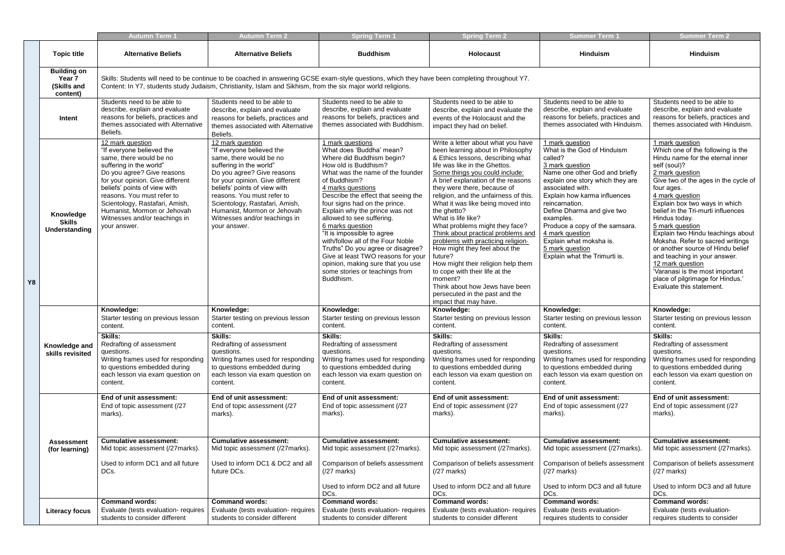|    |                                                         | <b>Autumn Term 1</b>                                                                                                                                                                                                                                                                                                                                  | <b>Autumn Term 2</b>                                                                                                                                                                                                                                                                                                                                  | <b>Spring Term 1</b>                                                                                                                                                                                                                                                                                                                                                                                                                                                                                                                                                    | <b>Spring Term 2</b>                                                                                                                                                                                                                                                                                                                                                                                                                                                                                                                                                                                                                                                                                              | <b>Summer Term 1</b>                                                                                                                                                                                                                                                                                                                                                                                    | <b>Summer Term 2</b>                                                                                                                                                                                                                                                                                                                                                                                                                                                                                                                                                                 |  |  |  |
|----|---------------------------------------------------------|-------------------------------------------------------------------------------------------------------------------------------------------------------------------------------------------------------------------------------------------------------------------------------------------------------------------------------------------------------|-------------------------------------------------------------------------------------------------------------------------------------------------------------------------------------------------------------------------------------------------------------------------------------------------------------------------------------------------------|-------------------------------------------------------------------------------------------------------------------------------------------------------------------------------------------------------------------------------------------------------------------------------------------------------------------------------------------------------------------------------------------------------------------------------------------------------------------------------------------------------------------------------------------------------------------------|-------------------------------------------------------------------------------------------------------------------------------------------------------------------------------------------------------------------------------------------------------------------------------------------------------------------------------------------------------------------------------------------------------------------------------------------------------------------------------------------------------------------------------------------------------------------------------------------------------------------------------------------------------------------------------------------------------------------|---------------------------------------------------------------------------------------------------------------------------------------------------------------------------------------------------------------------------------------------------------------------------------------------------------------------------------------------------------------------------------------------------------|--------------------------------------------------------------------------------------------------------------------------------------------------------------------------------------------------------------------------------------------------------------------------------------------------------------------------------------------------------------------------------------------------------------------------------------------------------------------------------------------------------------------------------------------------------------------------------------|--|--|--|
|    | <b>Topic title</b>                                      | <b>Alternative Beliefs</b>                                                                                                                                                                                                                                                                                                                            | <b>Alternative Beliefs</b>                                                                                                                                                                                                                                                                                                                            | <b>Buddhism</b>                                                                                                                                                                                                                                                                                                                                                                                                                                                                                                                                                         | <b>Holocaust</b>                                                                                                                                                                                                                                                                                                                                                                                                                                                                                                                                                                                                                                                                                                  | <b>Hinduism</b>                                                                                                                                                                                                                                                                                                                                                                                         | <b>Hinduism</b>                                                                                                                                                                                                                                                                                                                                                                                                                                                                                                                                                                      |  |  |  |
|    | <b>Building on</b><br>Year 7<br>(Skills and<br>content) | Skills: Students will need to be continue to be coached in answering GCSE exam-style questions, which they have been completing throughout Y7.<br>Content: In Y7, students study Judaism, Christianity, Islam and Sikhism, from the six major world religions.                                                                                        |                                                                                                                                                                                                                                                                                                                                                       |                                                                                                                                                                                                                                                                                                                                                                                                                                                                                                                                                                         |                                                                                                                                                                                                                                                                                                                                                                                                                                                                                                                                                                                                                                                                                                                   |                                                                                                                                                                                                                                                                                                                                                                                                         |                                                                                                                                                                                                                                                                                                                                                                                                                                                                                                                                                                                      |  |  |  |
|    | <b>Intent</b>                                           | Students need to be able to<br>describe, explain and evaluate<br>reasons for beliefs, practices and<br>themes associated with Alternative<br>Beliefs.                                                                                                                                                                                                 | Students need to be able to<br>describe, explain and evaluate<br>reasons for beliefs, practices and<br>themes associated with Alternative<br>Beliefs.                                                                                                                                                                                                 | Students need to be able to<br>describe, explain and evaluate<br>reasons for beliefs, practices and<br>themes associated with Buddhism.                                                                                                                                                                                                                                                                                                                                                                                                                                 | Students need to be able to<br>describe, explain and evaluate the<br>events of the Holocaust and the<br>impact they had on belief.                                                                                                                                                                                                                                                                                                                                                                                                                                                                                                                                                                                | Students need to be able to<br>describe, explain and evaluate<br>reasons for beliefs, practices and<br>themes associated with Hinduism.                                                                                                                                                                                                                                                                 | Students need to be able to<br>describe, explain and evaluate<br>reasons for beliefs, practices and<br>themes associated with Hinduism.                                                                                                                                                                                                                                                                                                                                                                                                                                              |  |  |  |
| Y8 | Knowledge<br><b>Skills</b><br>Understanding             | 12 mark question<br>"If everyone believed the<br>same, there would be no<br>suffering in the world"<br>Do you agree? Give reasons<br>for your opinion. Give different<br>beliefs' points of view with<br>reasons. You must refer to<br>Scientology, Rastafari, Amish,<br>Humanist, Mormon or Jehovah<br>Witnesses and/or teachings in<br>your answer. | 12 mark question<br>"If everyone believed the<br>same, there would be no<br>suffering in the world"<br>Do you agree? Give reasons<br>for your opinion. Give different<br>beliefs' points of view with<br>reasons. You must refer to<br>Scientology, Rastafari, Amish,<br>Humanist, Mormon or Jehovah<br>Witnesses and/or teachings in<br>your answer. | 1 mark questions<br>What does 'Buddha' mean?<br>Where did Buddhism begin?<br>How old is Buddhism?<br>What was the name of the founder<br>of Buddhism?<br>4 marks questions<br>Describe the effect that seeing the<br>four signs had on the prince.<br>Explain why the prince was not<br>allowed to see suffering.<br>6 marks question<br>"It is impossible to agree<br>with/follow all of the Four Noble<br>Truths" Do you agree or disagree?<br>Give at least TWO reasons for your<br>opinion, making sure that you use<br>some stories or teachings from<br>Buddhism. | Write a letter about what you have<br>been learning about in Philosophy<br>& Ethics lessons, describing what<br>life was like in the Ghettos.<br>Some things you could include:<br>A brief explanation of the reasons<br>they were there, because of<br>religion, and the unfairness of this.<br>What it was like being moved into<br>the ghetto?<br>What is life like?<br>What problems might they face?<br>Think about practical problems and<br>problems with practicing religion-<br>How might they feel about the<br>future?<br>How might their religion help them<br>to cope with their life at the<br>moment?<br>Think about how Jews have been<br>persecuted in the past and the<br>impact that may have. | 1 mark question<br>What is the God of Hinduism<br>called?<br>3 mark question<br>Name one other God and briefly<br>explain one story which they are<br>associated with.<br>Explain how karma influences<br>reincarnation.<br>Define Dharma and give two<br>examples.<br>Produce a copy of the samsara.<br>4 mark question<br>Explain what moksha is.<br>5 mark question<br>Explain what the Trimurti is. | 1 mark question<br>Which one of the following is the<br>Hindu name for the eternal inner<br>self (soul)?<br>2 mark question<br>Give two of the ages in the cycle of<br>four ages.<br>4 mark question<br>Explain box two ways in which<br>belief in the Tri-murti influences<br>Hindus today.<br>5 mark question<br>Explain two Hindu teachings about<br>Moksha. Refer to sacred writings<br>or another source of Hindu belief<br>and teaching in your answer.<br>12 mark question<br>'Varanasi is the most important<br>place of pilgrimage for Hindus.'<br>Evaluate this statement. |  |  |  |
|    |                                                         | Knowledge:<br>Starter testing on previous lesson<br>content.                                                                                                                                                                                                                                                                                          | Knowledge:<br>Starter testing on previous lesson<br>content.                                                                                                                                                                                                                                                                                          | Knowledge:<br>Starter testing on previous lesson<br>content.                                                                                                                                                                                                                                                                                                                                                                                                                                                                                                            | Knowledge:<br>Starter testing on previous lesson<br>content.                                                                                                                                                                                                                                                                                                                                                                                                                                                                                                                                                                                                                                                      | Knowledge:<br>Starter testing on previous lesson<br>content.                                                                                                                                                                                                                                                                                                                                            | Knowledge:<br>Starter testing on previous lesson<br>content.                                                                                                                                                                                                                                                                                                                                                                                                                                                                                                                         |  |  |  |
|    | Knowledge and<br>skills revisited                       | Skills:<br>Redrafting of assessment<br>questions.<br>Writing frames used for responding<br>to questions embedded during<br>each lesson via exam question on<br>content.                                                                                                                                                                               | <b>Skills:</b><br>Redrafting of assessment<br>questions.<br>Writing frames used for responding<br>to questions embedded during<br>each lesson via exam question on<br>content.                                                                                                                                                                        | Skills:<br>Redrafting of assessment<br>questions.<br>Writing frames used for responding<br>to questions embedded during<br>each lesson via exam question on<br>content.                                                                                                                                                                                                                                                                                                                                                                                                 | <b>Skills:</b><br>Redrafting of assessment<br>questions.<br>Writing frames used for responding<br>to questions embedded during<br>each lesson via exam question on<br>content.                                                                                                                                                                                                                                                                                                                                                                                                                                                                                                                                    | <b>Skills:</b><br>Redrafting of assessment<br>questions.<br>Writing frames used for responding<br>to questions embedded during<br>each lesson via exam question on<br>content.                                                                                                                                                                                                                          | <b>Skills:</b><br>Redrafting of assessment<br>questions.<br>Writing frames used for responding<br>to questions embedded during<br>each lesson via exam question on<br>content.                                                                                                                                                                                                                                                                                                                                                                                                       |  |  |  |
|    |                                                         | End of unit assessment:<br>End of topic assessment (/27<br>marks).                                                                                                                                                                                                                                                                                    | End of unit assessment:<br>End of topic assessment (/27<br>marks).                                                                                                                                                                                                                                                                                    | End of unit assessment:<br>End of topic assessment (/27<br>marks).                                                                                                                                                                                                                                                                                                                                                                                                                                                                                                      | End of unit assessment:<br>End of topic assessment (/27<br>marks).                                                                                                                                                                                                                                                                                                                                                                                                                                                                                                                                                                                                                                                | End of unit assessment:<br>End of topic assessment (/27<br>marks).                                                                                                                                                                                                                                                                                                                                      | End of unit assessment:<br>End of topic assessment (/27<br>marks).                                                                                                                                                                                                                                                                                                                                                                                                                                                                                                                   |  |  |  |
|    | <b>Assessment</b><br>(for learning)                     | <b>Cumulative assessment:</b><br>Mid topic assessment (/27marks).                                                                                                                                                                                                                                                                                     | <b>Cumulative assessment:</b><br>Mid topic assessment (/27marks).                                                                                                                                                                                                                                                                                     | <b>Cumulative assessment:</b><br>Mid topic assessment (/27marks).                                                                                                                                                                                                                                                                                                                                                                                                                                                                                                       | <b>Cumulative assessment:</b><br>Mid topic assessment (/27marks).                                                                                                                                                                                                                                                                                                                                                                                                                                                                                                                                                                                                                                                 | <b>Cumulative assessment:</b><br>Mid topic assessment (/27marks).                                                                                                                                                                                                                                                                                                                                       | <b>Cumulative assessment:</b><br>Mid topic assessment (/27marks).                                                                                                                                                                                                                                                                                                                                                                                                                                                                                                                    |  |  |  |
|    |                                                         | Used to inform DC1 and all future<br>DCs.                                                                                                                                                                                                                                                                                                             | Used to inform DC1 & DC2 and all<br>future DCs.                                                                                                                                                                                                                                                                                                       | Comparison of beliefs assessment<br>$(27$ marks)                                                                                                                                                                                                                                                                                                                                                                                                                                                                                                                        | Comparison of beliefs assessment<br>$(27 \text{ marks})$                                                                                                                                                                                                                                                                                                                                                                                                                                                                                                                                                                                                                                                          | Comparison of beliefs assessment<br>$(27$ marks)                                                                                                                                                                                                                                                                                                                                                        | Comparison of beliefs assessment<br>$(27$ marks)                                                                                                                                                                                                                                                                                                                                                                                                                                                                                                                                     |  |  |  |
|    |                                                         |                                                                                                                                                                                                                                                                                                                                                       |                                                                                                                                                                                                                                                                                                                                                       | Used to inform DC2 and all future<br>DCs.                                                                                                                                                                                                                                                                                                                                                                                                                                                                                                                               | Used to inform DC2 and all future<br>DCs.                                                                                                                                                                                                                                                                                                                                                                                                                                                                                                                                                                                                                                                                         | Used to inform DC3 and all future<br>DCs.                                                                                                                                                                                                                                                                                                                                                               | Used to inform DC3 and all future<br>DCs.                                                                                                                                                                                                                                                                                                                                                                                                                                                                                                                                            |  |  |  |
|    | <b>Literacy focus</b>                                   | <b>Command words:</b><br>Evaluate (tests evaluation- requires<br>students to consider different                                                                                                                                                                                                                                                       | <b>Command words:</b><br>Evaluate (tests evaluation- requires<br>students to consider different                                                                                                                                                                                                                                                       | <b>Command words:</b><br>Evaluate (tests evaluation- requires<br>students to consider different                                                                                                                                                                                                                                                                                                                                                                                                                                                                         | <b>Command words:</b><br>Evaluate (tests evaluation- requires<br>students to consider different                                                                                                                                                                                                                                                                                                                                                                                                                                                                                                                                                                                                                   | <b>Command words:</b><br>Evaluate (tests evaluation-<br>requires students to consider                                                                                                                                                                                                                                                                                                                   | <b>Command words:</b><br>Evaluate (tests evaluation-<br>requires students to consider                                                                                                                                                                                                                                                                                                                                                                                                                                                                                                |  |  |  |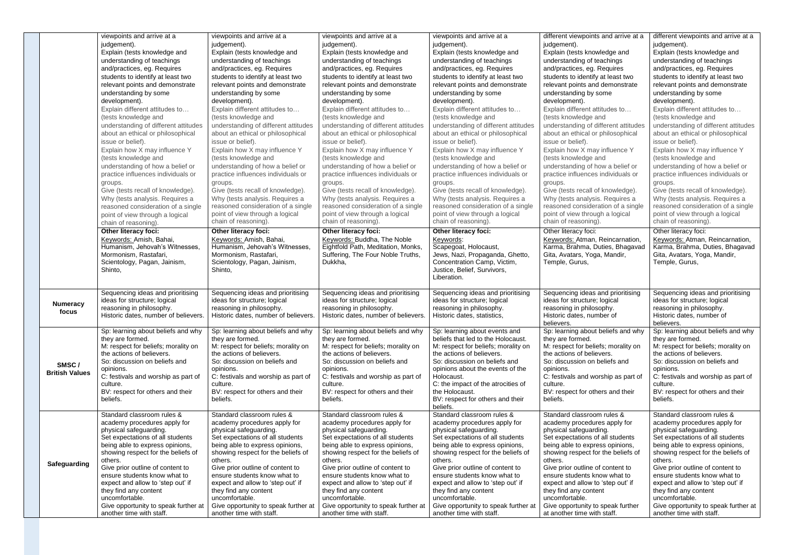|  |                                | viewpoints and arrive at a<br>judgement).<br>Explain (tests knowledge and<br>understanding of teachings<br>and/practices, eg. Requires<br>students to identify at least two<br>relevant points and demonstrate<br>understanding by some<br>development).<br>Explain different attitudes to<br>(tests knowledge and<br>understanding of different attitudes<br>about an ethical or philosophical<br>issue or belief).<br>Explain how X may influence Y<br>(tests knowledge and<br>understanding of how a belief or<br>practice influences individuals or<br>groups.<br>Give (tests recall of knowledge).<br>Why (tests analysis. Requires a<br>reasoned consideration of a single<br>point of view through a logical<br>chain of reasoning).<br>Other literacy foci:<br>Keywords: Amish, Bahai,<br>Humanism, Jehovah's Witnesses, | viewpoints and arrive at a<br>judgement).<br>Explain (tests knowledge and<br>understanding of teachings<br>and/practices, eg. Requires<br>students to identify at least two<br>relevant points and demonstrate<br>understanding by some<br>development).<br>Explain different attitudes to<br>(tests knowledge and<br>understanding of different attitudes<br>about an ethical or philosophical<br>issue or belief).<br>Explain how X may influence Y<br>(tests knowledge and<br>understanding of how a belief or<br>practice influences individuals or<br>groups.<br>Give (tests recall of knowledge).<br>Why (tests analysis. Requires a<br>reasoned consideration of a single<br>point of view through a logical<br>chain of reasoning).<br>Other literacy foci:<br>Keywords: Amish, Bahai,<br>Humanism, Jehovah's Witnesses, | viewpoints and arrive at a<br>judgement).<br>Explain (tests knowledge and<br>understanding of teachings<br>and/practices, eg. Requires<br>students to identify at least two<br>relevant points and demonstrate<br>understanding by some<br>development).<br>Explain different attitudes to<br>(tests knowledge and<br>understanding of different attitudes<br>about an ethical or philosophical<br>issue or belief).<br>Explain how X may influence Y<br>(tests knowledge and<br>understanding of how a belief or<br>practice influences individuals or<br>groups.<br>Give (tests recall of knowledge).<br>Why (tests analysis. Requires a<br>reasoned consideration of a single<br>point of view through a logical<br>chain of reasoning).<br>Other literacy foci:<br>Keywords: Buddha, The Noble<br>Eightfold Path, Meditation, Monks, | viewpoints and arrive at a<br>judgement).<br>Explain (tests knowledge and<br>understanding of teachings<br>and/practices, eg. Requires<br>students to identify at least two<br>relevant points and demonstrate<br>understanding by some<br>development).<br>Explain different attitudes to<br>(tests knowledge and<br>understanding of different attitudes<br>about an ethical or philosophical<br>issue or belief).<br>Explain how X may influence Y<br>(tests knowledge and<br>understanding of how a belief or<br>practice influences individuals or<br>groups.<br>Give (tests recall of knowledge).<br>Why (tests analysis. Requires a<br>reasoned consideration of a single<br>point of view through a logical<br>chain of reasoning).<br><b>Other literacy foci:</b><br>Keywords:<br>Scapegoat, Holocaust, | different viewpoints and arrive at a<br>judgement).<br>Explain (tests knowledge and<br>understanding of teachings<br>and/practices, eg. Requires<br>students to identify at least two<br>relevant points and demonstrate<br>understanding by some<br>development).<br>Explain different attitudes to<br>(tests knowledge and<br>understanding of different attitudes<br>about an ethical or philosophical<br>issue or belief).<br>Explain how X may influence Y<br>(tests knowledge and<br>understanding of how a belief or<br>practice influences individuals or<br>groups.<br>Give (tests recall of knowledge).<br>Why (tests analysis. Requires a<br>reasoned consideration of a single<br>point of view through a logical<br>chain of reasoning).<br>Other literacy foci:<br>Keywords: Atman, Reincarnation,<br>Karma, Brahma, Duties, Bhagavad | different viewpoints and arrive at a<br>judgement).<br>Explain (tests knowledge and<br>understanding of teachings<br>and/practices, eg. Requires<br>students to identify at least two<br>relevant points and demonstrate<br>understanding by some<br>development).<br>Explain different attitudes to<br>(tests knowledge and<br>understanding of different attitudes<br>about an ethical or philosophical<br>issue or belief).<br>Explain how X may influence Y<br>(tests knowledge and<br>understanding of how a belief or<br>practice influences individuals or<br>groups.<br>Give (tests recall of knowledge).<br>Why (tests analysis. Requires a<br>reasoned consideration of a single<br>point of view through a logical<br>chain of reasoning).<br>Other literacy foci:<br>Keywords: Atman, Reincarnation,<br>Karma, Brahma, Duties, Bhagavad |
|--|--------------------------------|----------------------------------------------------------------------------------------------------------------------------------------------------------------------------------------------------------------------------------------------------------------------------------------------------------------------------------------------------------------------------------------------------------------------------------------------------------------------------------------------------------------------------------------------------------------------------------------------------------------------------------------------------------------------------------------------------------------------------------------------------------------------------------------------------------------------------------|----------------------------------------------------------------------------------------------------------------------------------------------------------------------------------------------------------------------------------------------------------------------------------------------------------------------------------------------------------------------------------------------------------------------------------------------------------------------------------------------------------------------------------------------------------------------------------------------------------------------------------------------------------------------------------------------------------------------------------------------------------------------------------------------------------------------------------|------------------------------------------------------------------------------------------------------------------------------------------------------------------------------------------------------------------------------------------------------------------------------------------------------------------------------------------------------------------------------------------------------------------------------------------------------------------------------------------------------------------------------------------------------------------------------------------------------------------------------------------------------------------------------------------------------------------------------------------------------------------------------------------------------------------------------------------|------------------------------------------------------------------------------------------------------------------------------------------------------------------------------------------------------------------------------------------------------------------------------------------------------------------------------------------------------------------------------------------------------------------------------------------------------------------------------------------------------------------------------------------------------------------------------------------------------------------------------------------------------------------------------------------------------------------------------------------------------------------------------------------------------------------|-----------------------------------------------------------------------------------------------------------------------------------------------------------------------------------------------------------------------------------------------------------------------------------------------------------------------------------------------------------------------------------------------------------------------------------------------------------------------------------------------------------------------------------------------------------------------------------------------------------------------------------------------------------------------------------------------------------------------------------------------------------------------------------------------------------------------------------------------------|-----------------------------------------------------------------------------------------------------------------------------------------------------------------------------------------------------------------------------------------------------------------------------------------------------------------------------------------------------------------------------------------------------------------------------------------------------------------------------------------------------------------------------------------------------------------------------------------------------------------------------------------------------------------------------------------------------------------------------------------------------------------------------------------------------------------------------------------------------|
|  |                                | Mormonism, Rastafari,<br>Scientology, Pagan, Jainism,<br>Shinto,                                                                                                                                                                                                                                                                                                                                                                                                                                                                                                                                                                                                                                                                                                                                                                 | Mormonism, Rastafari,<br>Scientology, Pagan, Jainism,<br>Shinto,                                                                                                                                                                                                                                                                                                                                                                                                                                                                                                                                                                                                                                                                                                                                                                 | Suffering, The Four Noble Truths,<br>Dukkha,                                                                                                                                                                                                                                                                                                                                                                                                                                                                                                                                                                                                                                                                                                                                                                                             | Jews, Nazi, Propaganda, Ghetto,<br>Concentration Camp, Victim,<br>Justice, Belief, Survivors,<br>Liberation.                                                                                                                                                                                                                                                                                                                                                                                                                                                                                                                                                                                                                                                                                                     | Gita, Avatars, Yoga, Mandir,<br>Temple, Gurus,                                                                                                                                                                                                                                                                                                                                                                                                                                                                                                                                                                                                                                                                                                                                                                                                      | Gita, Avatars, Yoga, Mandir,<br>Temple, Gurus,                                                                                                                                                                                                                                                                                                                                                                                                                                                                                                                                                                                                                                                                                                                                                                                                      |
|  | <b>Numeracy</b><br>focus       | Sequencing ideas and prioritising<br>ideas for structure; logical<br>reasoning in philosophy.<br>Historic dates, number of believers.                                                                                                                                                                                                                                                                                                                                                                                                                                                                                                                                                                                                                                                                                            | Sequencing ideas and prioritising<br>ideas for structure; logical<br>reasoning in philosophy.<br>Historic dates, number of believers.                                                                                                                                                                                                                                                                                                                                                                                                                                                                                                                                                                                                                                                                                            | Sequencing ideas and prioritising<br>ideas for structure; logical<br>reasoning in philosophy.<br>Historic dates, number of believers.                                                                                                                                                                                                                                                                                                                                                                                                                                                                                                                                                                                                                                                                                                    | Sequencing ideas and prioritising<br>ideas for structure; logical<br>reasoning in philosophy.<br>Historic dates, statistics,                                                                                                                                                                                                                                                                                                                                                                                                                                                                                                                                                                                                                                                                                     | Sequencing ideas and prioritising<br>ideas for structure; logical<br>reasoning in philosophy.<br>Historic dates, number of<br>believers.                                                                                                                                                                                                                                                                                                                                                                                                                                                                                                                                                                                                                                                                                                            | Sequencing ideas and prioritising<br>ideas for structure; logical<br>reasoning in philosophy.<br>Historic dates, number of<br>believers.                                                                                                                                                                                                                                                                                                                                                                                                                                                                                                                                                                                                                                                                                                            |
|  | SMSC/<br><b>British Values</b> | Sp: learning about beliefs and why<br>they are formed.<br>M: respect for beliefs; morality on<br>the actions of believers.<br>So: discussion on beliefs and<br>opinions.<br>C: festivals and worship as part of<br>culture.<br>BV: respect for others and their<br>beliefs.                                                                                                                                                                                                                                                                                                                                                                                                                                                                                                                                                      | Sp: learning about beliefs and why<br>they are formed.<br>M: respect for beliefs; morality on<br>the actions of believers.<br>So: discussion on beliefs and<br>opinions.<br>C: festivals and worship as part of<br>culture.<br>BV: respect for others and their<br>beliefs.                                                                                                                                                                                                                                                                                                                                                                                                                                                                                                                                                      | Sp: learning about beliefs and why<br>they are formed.<br>M: respect for beliefs; morality on<br>the actions of believers.<br>So: discussion on beliefs and<br>opinions.<br>C: festivals and worship as part of<br>culture.<br>BV: respect for others and their<br>beliefs.                                                                                                                                                                                                                                                                                                                                                                                                                                                                                                                                                              | Sp: learning about events and<br>beliefs that led to the Holocaust.<br>M: respect for beliefs; morality on<br>the actions of believers.<br>So: discussion on beliefs and<br>opinions about the events of the<br>Holocaust.<br>C: the impact of the atrocities of<br>the Holocaust.<br>BV: respect for others and their<br>beliefs.                                                                                                                                                                                                                                                                                                                                                                                                                                                                               | Sp: learning about beliefs and why<br>they are formed.<br>M: respect for beliefs; morality on<br>the actions of believers.<br>So: discussion on beliefs and<br>opinions.<br>C: festivals and worship as part of<br>culture.<br>BV: respect for others and their<br>beliefs.                                                                                                                                                                                                                                                                                                                                                                                                                                                                                                                                                                         | Sp: learning about beliefs and why<br>they are formed.<br>M: respect for beliefs; morality on<br>the actions of believers.<br>So: discussion on beliefs and<br>opinions.<br>C: festivals and worship as part of<br>culture.<br>BV: respect for others and their<br>beliefs.                                                                                                                                                                                                                                                                                                                                                                                                                                                                                                                                                                         |
|  | Safeguarding                   | Standard classroom rules &<br>academy procedures apply for<br>physical safeguarding.<br>Set expectations of all students<br>being able to express opinions,<br>showing respect for the beliefs of<br>others.<br>Give prior outline of content to<br>ensure students know what to<br>expect and allow to 'step out' if<br>they find any content<br>uncomfortable.<br>Give opportunity to speak further at<br>another time with staff.                                                                                                                                                                                                                                                                                                                                                                                             | Standard classroom rules &<br>academy procedures apply for<br>physical safeguarding.<br>Set expectations of all students<br>being able to express opinions,<br>showing respect for the beliefs of<br>others.<br>Give prior outline of content to<br>ensure students know what to<br>expect and allow to 'step out' if<br>they find any content<br>uncomfortable.<br>Give opportunity to speak further at<br>another time with staff.                                                                                                                                                                                                                                                                                                                                                                                             | Standard classroom rules &<br>academy procedures apply for<br>physical safeguarding.<br>Set expectations of all students<br>being able to express opinions,<br>showing respect for the beliefs of<br>others.<br>Give prior outline of content to<br>ensure students know what to<br>expect and allow to 'step out' if<br>they find any content<br>uncomfortable.<br>Give opportunity to speak further at<br>another time with staff.                                                                                                                                                                                                                                                                                                                                                                                                     | Standard classroom rules &<br>academy procedures apply for<br>physical safeguarding.<br>Set expectations of all students<br>being able to express opinions,<br>showing respect for the beliefs of<br>others.<br>Give prior outline of content to<br>ensure students know what to<br>expect and allow to 'step out' if<br>they find any content<br>uncomfortable.<br>Give opportunity to speak further at<br>another time with staff.                                                                                                                                                                                                                                                                                                                                                                             | Standard classroom rules &<br>academy procedures apply for<br>physical safeguarding.<br>Set expectations of all students<br>being able to express opinions,<br>showing respect for the beliefs of<br>others.<br>Give prior outline of content to<br>ensure students know what to<br>expect and allow to 'step out' if<br>they find any content<br>uncomfortable.<br>Give opportunity to speak further<br>at another time with staff.                                                                                                                                                                                                                                                                                                                                                                                                                | Standard classroom rules &<br>academy procedures apply for<br>physical safeguarding.<br>Set expectations of all students<br>being able to express opinions,<br>showing respect for the beliefs of<br>others.<br>Give prior outline of content to<br>ensure students know what to<br>expect and allow to 'step out' if<br>they find any content<br>uncomfortable.<br>Give opportunity to speak further at<br>another time with staff.                                                                                                                                                                                                                                                                                                                                                                                                                |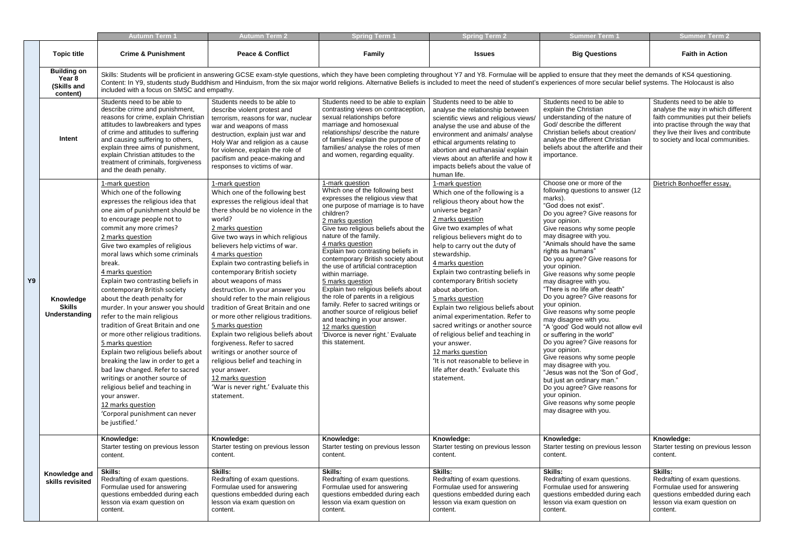|    |                                                         | <b>Autumn Term 1</b>                                                                                                                                                                                                                                                                                                                                                                                                                                                                                                                                                                                                                                                                                                                                                                                                                                           | <b>Autumn Term 2</b>                                                                                                                                                                                                                                                                                                                                                                                                                                                                                                                                                                                                                                                                                                                                                  | <b>Spring Term 1</b>                                                                                                                                                                                                                                                                                                                                                                                                                                                                                                                                                                                                                                                                   | <b>Spring Term 2</b>                                                                                                                                                                                                                                                                                                                                                                                                                                                                                                                                                                                                                                               | <b>Summer Term '</b>                                                                                                                                                                                                                                                                                                                                                                                                                                                                                                                                                                                                                                                                                                                                                                                                                                                                              | <b>Summer Term 2</b>                                                                                                                                                                            |
|----|---------------------------------------------------------|----------------------------------------------------------------------------------------------------------------------------------------------------------------------------------------------------------------------------------------------------------------------------------------------------------------------------------------------------------------------------------------------------------------------------------------------------------------------------------------------------------------------------------------------------------------------------------------------------------------------------------------------------------------------------------------------------------------------------------------------------------------------------------------------------------------------------------------------------------------|-----------------------------------------------------------------------------------------------------------------------------------------------------------------------------------------------------------------------------------------------------------------------------------------------------------------------------------------------------------------------------------------------------------------------------------------------------------------------------------------------------------------------------------------------------------------------------------------------------------------------------------------------------------------------------------------------------------------------------------------------------------------------|----------------------------------------------------------------------------------------------------------------------------------------------------------------------------------------------------------------------------------------------------------------------------------------------------------------------------------------------------------------------------------------------------------------------------------------------------------------------------------------------------------------------------------------------------------------------------------------------------------------------------------------------------------------------------------------|--------------------------------------------------------------------------------------------------------------------------------------------------------------------------------------------------------------------------------------------------------------------------------------------------------------------------------------------------------------------------------------------------------------------------------------------------------------------------------------------------------------------------------------------------------------------------------------------------------------------------------------------------------------------|---------------------------------------------------------------------------------------------------------------------------------------------------------------------------------------------------------------------------------------------------------------------------------------------------------------------------------------------------------------------------------------------------------------------------------------------------------------------------------------------------------------------------------------------------------------------------------------------------------------------------------------------------------------------------------------------------------------------------------------------------------------------------------------------------------------------------------------------------------------------------------------------------|-------------------------------------------------------------------------------------------------------------------------------------------------------------------------------------------------|
|    | <b>Topic title</b>                                      | <b>Crime &amp; Punishment</b>                                                                                                                                                                                                                                                                                                                                                                                                                                                                                                                                                                                                                                                                                                                                                                                                                                  | <b>Peace &amp; Conflict</b>                                                                                                                                                                                                                                                                                                                                                                                                                                                                                                                                                                                                                                                                                                                                           | <b>Family</b>                                                                                                                                                                                                                                                                                                                                                                                                                                                                                                                                                                                                                                                                          | <b>Issues</b>                                                                                                                                                                                                                                                                                                                                                                                                                                                                                                                                                                                                                                                      | <b>Big Questions</b>                                                                                                                                                                                                                                                                                                                                                                                                                                                                                                                                                                                                                                                                                                                                                                                                                                                                              | <b>Faith in Action</b>                                                                                                                                                                          |
|    | <b>Building on</b><br>Year 8<br>(Skills and<br>content) | included with a focus on SMSC and empathy.                                                                                                                                                                                                                                                                                                                                                                                                                                                                                                                                                                                                                                                                                                                                                                                                                     |                                                                                                                                                                                                                                                                                                                                                                                                                                                                                                                                                                                                                                                                                                                                                                       | Skills: Students will be proficient in answering GCSE exam-style questions, which they have been completing throughout Y7 and Y8. Formulae will be applied to ensure that they meet the demands of KS4 questioning.<br>Content: In Y9, students study Buddhism and Hinduism, from the six major world religions. Alternative Beliefs is included to meet the need of student's experiences of more secular belief systems. The Holocaust is also                                                                                                                                                                                                                                       |                                                                                                                                                                                                                                                                                                                                                                                                                                                                                                                                                                                                                                                                    |                                                                                                                                                                                                                                                                                                                                                                                                                                                                                                                                                                                                                                                                                                                                                                                                                                                                                                   |                                                                                                                                                                                                 |
|    | Intent                                                  | Students need to be able to<br>describe crime and punishment,<br>reasons for crime, explain Christian<br>attitudes to lawbreakers and types<br>of crime and attitudes to suffering<br>and causing suffering to others,<br>explain three aims of punishment,<br>explain Christian attitudes to the<br>treatment of criminals, forgiveness<br>and the death penalty.                                                                                                                                                                                                                                                                                                                                                                                                                                                                                             | Students needs to be able to<br>describe violent protest and<br>terrorism, reasons for war, nuclear<br>war and weapons of mass<br>destruction, explain just war and<br>Holy War and religion as a cause<br>for violence, explain the role of<br>pacifism and peace-making and<br>responses to victims of war.                                                                                                                                                                                                                                                                                                                                                                                                                                                         | Students need to be able to explain<br>contrasting views on contraception,<br>sexual relationships before<br>marriage and homosexual<br>relationships/ describe the nature<br>of families/ explain the purpose of<br>families/ analyse the roles of men<br>and women, regarding equality.                                                                                                                                                                                                                                                                                                                                                                                              | Students need to be able to<br>analyse the relationship between<br>scientific views and religious views/<br>analyse the use and abuse of the<br>environment and animals/ analyse<br>ethical arguments relating to<br>abortion and euthanasia/ explain<br>views about an afterlife and how it<br>impacts beliefs about the value of<br>human life.                                                                                                                                                                                                                                                                                                                  | Students need to be able to<br>explain the Christian<br>understanding of the nature of<br>God/ describe the different<br>Christian beliefs about creation/<br>analyse the different Christian<br>beliefs about the afterlife and their<br>importance.                                                                                                                                                                                                                                                                                                                                                                                                                                                                                                                                                                                                                                             | Students need to be able to<br>analyse the way in which dif<br>faith communities put their b<br>into practise through the way<br>they live their lives and conti<br>to society and local commun |
| Υ9 | Knowledge<br><b>Skills</b><br><b>Understanding</b>      | 1-mark question<br>Which one of the following<br>expresses the religious idea that<br>one aim of punishment should be<br>to encourage people not to<br>commit any more crimes?<br>2 marks question<br>Give two examples of religious<br>moral laws which some criminals<br>break.<br>4 marks question<br>Explain two contrasting beliefs in<br>contemporary British society<br>about the death penalty for<br>murder. In your answer you should<br>refer to the main religious<br>tradition of Great Britain and one<br>or more other religious traditions.<br>5 marks question<br>Explain two religious beliefs about<br>breaking the law in order to get a<br>bad law changed. Refer to sacred<br>writings or another source of<br>religious belief and teaching in<br>your answer.<br>12 marks question<br>'Corporal punishment can never<br>be justified.' | 1-mark question<br>Which one of the following best<br>expresses the religious ideal that<br>there should be no violence in the<br>world?<br>2 marks question<br>Give two ways in which religious<br>believers help victims of war.<br>4 marks question<br>Explain two contrasting beliefs in<br>contemporary British society<br>about weapons of mass<br>destruction. In your answer you<br>should refer to the main religious<br>tradition of Great Britain and one<br>or more other religious traditions.<br>5 marks question<br>Explain two religious beliefs about<br>forgiveness. Refer to sacred<br>writings or another source of<br>religious belief and teaching in<br>your answer.<br>12 marks question<br>'War is never right.' Evaluate this<br>statement. | 1-mark question<br>Which one of the following best<br>expresses the religious view that<br>one purpose of marriage is to have<br>children?<br>2 marks question<br>Give two religious beliefs about the<br>nature of the family.<br>4 marks question<br>Explain two contrasting beliefs in<br>contemporary British society about<br>the use of artificial contraception<br>within marriage.<br>5 marks question<br>Explain two religious beliefs about<br>the role of parents in a religious<br>family. Refer to sacred writings or<br>another source of religious belief<br>and teaching in your answer.<br>12 marks question<br>'Divorce is never right.' Evaluate<br>this statement. | 1-mark question<br>Which one of the following is a<br>religious theory about how the<br>universe began?<br>2 marks question<br>Give two examples of what<br>religious believers might do to<br>help to carry out the duty of<br>stewardship.<br>4 marks question<br>Explain two contrasting beliefs in<br>contemporary British society<br>about abortion.<br>5 marks question<br>Explain two religious beliefs about<br>animal experimentation. Refer to<br>sacred writings or another source<br>of religious belief and teaching in<br>your answer.<br>12 marks question<br>'It is not reasonable to believe in<br>life after death.' Evaluate this<br>statement. | Choose one or more of the<br>following questions to answer (12<br>marks).<br>"God does not exist".<br>Do you agree? Give reasons for<br>your opinion.<br>Give reasons why some people<br>may disagree with you.<br>"Animals should have the same<br>rights as humans"<br>Do you agree? Give reasons for<br>your opinion.<br>Give reasons why some people<br>may disagree with you.<br>"There is no life after death"<br>Do you agree? Give reasons for<br>your opinion.<br>Give reasons why some people<br>may disagree with you.<br>"A 'good' God would not allow evil<br>or suffering in the world"<br>Do you agree? Give reasons for<br>your opinion.<br>Give reasons why some people<br>may disagree with you.<br>"Jesus was not the 'Son of God',<br>but just an ordinary man."<br>Do you agree? Give reasons for<br>your opinion.<br>Give reasons why some people<br>may disagree with you. | Dietrich Bonhoeffer essay.                                                                                                                                                                      |
|    |                                                         | Knowledge:<br>Starter testing on previous lesson<br>content.                                                                                                                                                                                                                                                                                                                                                                                                                                                                                                                                                                                                                                                                                                                                                                                                   | Knowledge:<br>Starter testing on previous lesson<br>content.                                                                                                                                                                                                                                                                                                                                                                                                                                                                                                                                                                                                                                                                                                          | Knowledge:<br>Starter testing on previous lesson<br>content.                                                                                                                                                                                                                                                                                                                                                                                                                                                                                                                                                                                                                           | Knowledge:<br>Starter testing on previous lesson<br>content.                                                                                                                                                                                                                                                                                                                                                                                                                                                                                                                                                                                                       | Knowledge:<br>Starter testing on previous lesson<br>content.                                                                                                                                                                                                                                                                                                                                                                                                                                                                                                                                                                                                                                                                                                                                                                                                                                      | Knowledge:<br>Starter testing on previous le<br>content.                                                                                                                                        |
|    | Knowledge and<br>skills revisited                       | <b>Skills:</b><br>Redrafting of exam questions.<br>Formulae used for answering<br>questions embedded during each<br>lesson via exam question on<br>content.                                                                                                                                                                                                                                                                                                                                                                                                                                                                                                                                                                                                                                                                                                    | <b>Skills:</b><br>Redrafting of exam questions.<br>Formulae used for answering<br>questions embedded during each<br>lesson via exam question on<br>content.                                                                                                                                                                                                                                                                                                                                                                                                                                                                                                                                                                                                           | <b>Skills:</b><br>Redrafting of exam questions.<br>Formulae used for answering<br>questions embedded during each<br>lesson via exam question on<br>content.                                                                                                                                                                                                                                                                                                                                                                                                                                                                                                                            | <b>Skills:</b><br>Redrafting of exam questions.<br>Formulae used for answering<br>questions embedded during each<br>lesson via exam question on<br>content.                                                                                                                                                                                                                                                                                                                                                                                                                                                                                                        | <b>Skills:</b><br>Redrafting of exam questions.<br>Formulae used for answering<br>questions embedded during each<br>lesson via exam question on<br>content.                                                                                                                                                                                                                                                                                                                                                                                                                                                                                                                                                                                                                                                                                                                                       | <b>Skills:</b><br>Redrafting of exam question<br>Formulae used for answerin<br>questions embedded during<br>lesson via exam question or<br>content.                                             |

| <b>Summer Term 1</b>                                                                                                                                                                                                                                                                                                                                                                                                                                                                                                                                                                                                                                                                                                                                                                                                                                                                              | <b>Summer Term 2</b>                                                                                                                                                                                                        |  |  |
|---------------------------------------------------------------------------------------------------------------------------------------------------------------------------------------------------------------------------------------------------------------------------------------------------------------------------------------------------------------------------------------------------------------------------------------------------------------------------------------------------------------------------------------------------------------------------------------------------------------------------------------------------------------------------------------------------------------------------------------------------------------------------------------------------------------------------------------------------------------------------------------------------|-----------------------------------------------------------------------------------------------------------------------------------------------------------------------------------------------------------------------------|--|--|
| <b>Big Questions</b>                                                                                                                                                                                                                                                                                                                                                                                                                                                                                                                                                                                                                                                                                                                                                                                                                                                                              | <b>Faith in Action</b>                                                                                                                                                                                                      |  |  |
| oplied to ensure that they meet the demands of KS4 questioning.<br>experiences of more secular belief systems. The Holocaust is also                                                                                                                                                                                                                                                                                                                                                                                                                                                                                                                                                                                                                                                                                                                                                              |                                                                                                                                                                                                                             |  |  |
| Students need to be able to<br>explain the Christian<br>understanding of the nature of<br>God/ describe the different<br>Christian beliefs about creation/<br>analyse the different Christian<br>beliefs about the afterlife and their<br>importance.                                                                                                                                                                                                                                                                                                                                                                                                                                                                                                                                                                                                                                             | Students need to be able to<br>analyse the way in which different<br>faith communities put their beliefs<br>into practise through the way that<br>they live their lives and contribute<br>to society and local communities. |  |  |
| Choose one or more of the<br>following questions to answer (12<br>marks).<br>"God does not exist".<br>Do you agree? Give reasons for<br>your opinion.<br>Give reasons why some people<br>may disagree with you.<br>"Animals should have the same<br>rights as humans"<br>Do you agree? Give reasons for<br>your opinion.<br>Give reasons why some people<br>may disagree with you.<br>"There is no life after death"<br>Do you agree? Give reasons for<br>your opinion.<br>Give reasons why some people<br>may disagree with you.<br>"A 'good' God would not allow evil<br>or suffering in the world"<br>Do you agree? Give reasons for<br>your opinion.<br>Give reasons why some people<br>may disagree with you.<br>"Jesus was not the 'Son of God',<br>but just an ordinary man."<br>Do you agree? Give reasons for<br>your opinion.<br>Give reasons why some people<br>may disagree with you. | Dietrich Bonhoeffer essay.                                                                                                                                                                                                  |  |  |
| Knowledge:<br>Starter testing on previous lesson<br>content.                                                                                                                                                                                                                                                                                                                                                                                                                                                                                                                                                                                                                                                                                                                                                                                                                                      | Knowledge:<br>Starter testing on previous lesson<br>content.                                                                                                                                                                |  |  |
| <b>Skills:</b><br>Redrafting of exam questions.<br>Formulae used for answering<br>questions embedded during each<br>lesson via exam question on<br>content.                                                                                                                                                                                                                                                                                                                                                                                                                                                                                                                                                                                                                                                                                                                                       | <b>Skills:</b><br>Redrafting of exam questions.<br>Formulae used for answering<br>questions embedded during each<br>lesson via exam question on<br>content.                                                                 |  |  |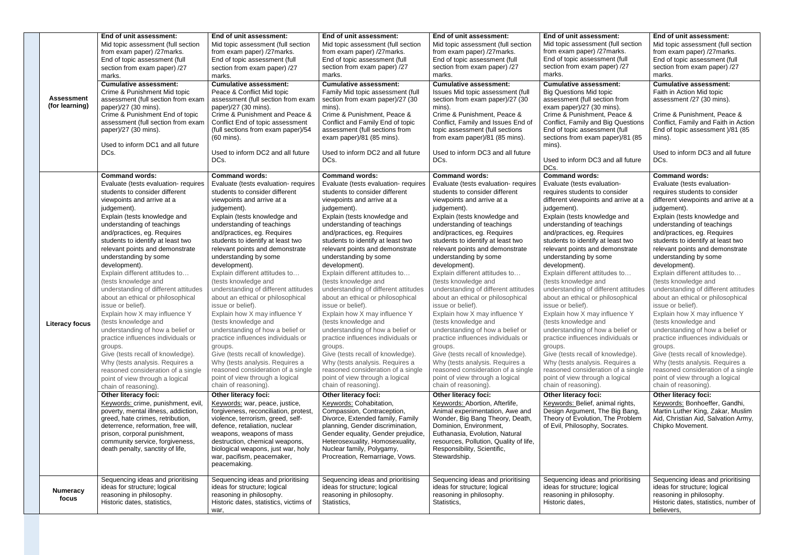|  |                       | End of unit assessment:                                               | End of unit assessment:                                | End of unit assessment:                                     | End of unit assessment:                                           | End of unit assessment:                                           | End of unit assessment:                    |
|--|-----------------------|-----------------------------------------------------------------------|--------------------------------------------------------|-------------------------------------------------------------|-------------------------------------------------------------------|-------------------------------------------------------------------|--------------------------------------------|
|  |                       | Mid topic assessment (full section                                    | Mid topic assessment (full section                     | Mid topic assessment (full section                          | Mid topic assessment (full section                                | Mid topic assessment (full section                                | Mid topic assessment (full section         |
|  |                       | from exam paper) /27marks.                                            | from exam paper) /27marks.                             | from exam paper) /27marks.                                  | from exam paper) /27marks.                                        | from exam paper) /27marks.                                        | from exam paper) /27marks.                 |
|  |                       | End of topic assessment (full                                         | End of topic assessment (full                          | End of topic assessment (full                               | End of topic assessment (full                                     | End of topic assessment (full                                     | End of topic assessment (full              |
|  |                       |                                                                       |                                                        | section from exam paper) /27                                | section from exam paper) /27                                      | section from exam paper) /27                                      | section from exam paper) /27               |
|  |                       | section from exam paper) /27                                          | section from exam paper) /27                           | marks.                                                      | marks.                                                            | marks.                                                            | marks.                                     |
|  |                       | marks.                                                                | marks.                                                 |                                                             |                                                                   |                                                                   |                                            |
|  |                       | <b>Cumulative assessment:</b>                                         | <b>Cumulative assessment:</b>                          | <b>Cumulative assessment:</b>                               | <b>Cumulative assessment:</b>                                     | <b>Cumulative assessment:</b>                                     | <b>Cumulative assessment:</b>              |
|  | <b>Assessment</b>     | Crime & Punishment Mid topic                                          | Peace & Conflict Mid topic                             | Family Mid topic assessment (full                           | Issues Mid topic assessment (full                                 | <b>Big Questions Mid topic</b>                                    | Faith in Action Mid topic                  |
|  | (for learning)        | assessment (full section from exam                                    | assessment (full section from exam                     | section from exam paper)/27 (30                             | section from exam paper)/27 (30                                   | assessment (full section from                                     | assessment /27 (30 mins).                  |
|  |                       | paper)/27 (30 mins).                                                  | paper)/27 (30 mins).<br>Crime & Punishment and Peace & | mins).<br>Crime & Punishment, Peace &                       | mins).<br>Crime & Punishment, Peace &                             | exam paper)/27 (30 mins).<br>Crime & Punishment, Peace &          |                                            |
|  |                       | Crime & Punishment End of topic<br>assessment (full section from exam |                                                        |                                                             |                                                                   |                                                                   | Crime & Punishment, Peace &                |
|  |                       |                                                                       | Conflict End of topic assessment                       | Conflict and Family End of topic                            | Conflict, Family and Issues End of                                | Conflict, Family and Big Questions                                | Conflict, Family and Faith in Action       |
|  |                       | paper)/27 (30 mins).                                                  | (full sections from exam paper)/54<br>(60 mins).       | assessment (full sections from<br>exam paper)/81 (85 mins). | topic assessment (full sections<br>from exam paper)/81 (85 mins). | End of topic assessment (full<br>sections from exam paper)/81 (85 | End of topic assessment )/81 (85<br>mins). |
|  |                       | Used to inform DC1 and all future                                     |                                                        |                                                             |                                                                   | mins).                                                            |                                            |
|  |                       | DCs.                                                                  | Used to inform DC2 and all future                      | Used to inform DC2 and all future                           | Used to inform DC3 and all future                                 |                                                                   | Used to inform DC3 and all future          |
|  |                       |                                                                       | DCs.                                                   | DCs.                                                        | DCs.                                                              | Used to inform DC3 and all future                                 | DCs.                                       |
|  |                       |                                                                       |                                                        |                                                             |                                                                   | DCs.                                                              |                                            |
|  |                       | <b>Command words:</b>                                                 | <b>Command words:</b>                                  | <b>Command words:</b>                                       | <b>Command words:</b>                                             | <b>Command words:</b>                                             | <b>Command words:</b>                      |
|  |                       | Evaluate (tests evaluation- requires                                  | Evaluate (tests evaluation- requires                   | Evaluate (tests evaluation- requires                        | Evaluate (tests evaluation- requires                              | Evaluate (tests evaluation-                                       | Evaluate (tests evaluation-                |
|  |                       | students to consider different                                        | students to consider different                         | students to consider different                              | students to consider different                                    | requires students to consider                                     | requires students to consider              |
|  |                       | viewpoints and arrive at a                                            | viewpoints and arrive at a                             | viewpoints and arrive at a                                  | viewpoints and arrive at a                                        | different viewpoints and arrive at a                              | different viewpoints and arrive at a       |
|  |                       | judgement).                                                           | judgement).                                            | judgement).                                                 | judgement).                                                       | judgement).                                                       | judgement).                                |
|  |                       |                                                                       |                                                        | Explain (tests knowledge and                                |                                                                   |                                                                   |                                            |
|  |                       | Explain (tests knowledge and                                          | Explain (tests knowledge and                           |                                                             | Explain (tests knowledge and                                      | Explain (tests knowledge and                                      | Explain (tests knowledge and               |
|  |                       | understanding of teachings                                            | understanding of teachings                             | understanding of teachings                                  | understanding of teachings                                        | understanding of teachings                                        | understanding of teachings                 |
|  |                       | and/practices, eg. Requires                                           | and/practices, eg. Requires                            | and/practices, eg. Requires                                 | and/practices, eg. Requires                                       | and/practices, eg. Requires                                       | and/practices, eg. Requires                |
|  |                       | students to identify at least two                                     | students to identify at least two                      | students to identify at least two                           | students to identify at least two                                 | students to identify at least two                                 | students to identify at least two          |
|  |                       | relevant points and demonstrate                                       | relevant points and demonstrate                        | relevant points and demonstrate                             | relevant points and demonstrate                                   | relevant points and demonstrate                                   | relevant points and demonstrate            |
|  |                       | understanding by some                                                 | understanding by some                                  | understanding by some                                       | understanding by some                                             | understanding by some                                             | understanding by some                      |
|  |                       | development).                                                         | development).                                          | development).                                               | development).                                                     | development).                                                     | development).                              |
|  |                       | Explain different attitudes to                                        | Explain different attitudes to                         | Explain different attitudes to                              | Explain different attitudes to                                    | Explain different attitudes to                                    | Explain different attitudes to             |
|  |                       | (tests knowledge and                                                  | (tests knowledge and                                   | (tests knowledge and                                        | (tests knowledge and                                              | (tests knowledge and                                              | (tests knowledge and                       |
|  |                       | understanding of different attitudes                                  | understanding of different attitudes                   | understanding of different attitudes                        | understanding of different attitudes                              | understanding of different attitudes                              | understanding of different attitudes       |
|  |                       | about an ethical or philosophical                                     | about an ethical or philosophical                      | about an ethical or philosophical                           | about an ethical or philosophical                                 | about an ethical or philosophical                                 | about an ethical or philosophical          |
|  |                       | issue or belief).                                                     | issue or belief).                                      | issue or belief).                                           | issue or belief).                                                 | issue or belief).                                                 | issue or belief).                          |
|  |                       | Explain how X may influence Y                                         | Explain how X may influence Y                          | Explain how X may influence Y                               | Explain how X may influence Y                                     | Explain how X may influence Y                                     | Explain how X may influence Y              |
|  | <b>Literacy focus</b> | (tests knowledge and                                                  | (tests knowledge and                                   | (tests knowledge and                                        | (tests knowledge and                                              | (tests knowledge and                                              | (tests knowledge and                       |
|  |                       | understanding of how a belief or                                      | understanding of how a belief or                       | understanding of how a belief or                            | understanding of how a belief or                                  | understanding of how a belief or                                  | understanding of how a belief or           |
|  |                       | practice influences individuals or                                    | practice influences individuals or                     | practice influences individuals or                          | practice influences individuals or                                | practice influences individuals or                                | practice influences individuals or         |
|  |                       | groups.                                                               | groups.                                                | groups.                                                     | groups.                                                           | groups.                                                           | groups.                                    |
|  |                       | Give (tests recall of knowledge).                                     | Give (tests recall of knowledge).                      | Give (tests recall of knowledge).                           | Give (tests recall of knowledge).                                 | Give (tests recall of knowledge).                                 | Give (tests recall of knowledge).          |
|  |                       | Why (tests analysis. Requires a                                       | Why (tests analysis. Requires a                        | Why (tests analysis. Requires a                             | Why (tests analysis. Requires a                                   | Why (tests analysis. Requires a                                   | Why (tests analysis. Requires a            |
|  |                       | reasoned consideration of a single                                    | reasoned consideration of a single                     | reasoned consideration of a single                          | reasoned consideration of a single                                | reasoned consideration of a single                                | reasoned consideration of a single         |
|  |                       | point of view through a logical                                       | point of view through a logical                        | point of view through a logical                             | point of view through a logical                                   | point of view through a logical                                   | point of view through a logical            |
|  |                       | chain of reasoning).                                                  | chain of reasoning).                                   | chain of reasoning).                                        | chain of reasoning).                                              | chain of reasoning).                                              | chain of reasoning).                       |
|  |                       | <b>Other literacy foci:</b>                                           | Other literacy foci:                                   | <b>Other literacy foci:</b>                                 | Other literacy foci:                                              | Other literacy foci:                                              | <b>Other literacy foci:</b>                |
|  |                       | Keywords: crime, punishment, evil,                                    | Keywords: war, peace, justice,                         | Keywords: Cohabitation,                                     | Keywords: Abortion, Afterlife,                                    | Keywords: Belief, animal rights,                                  | Keywords: Bonhoeffer, Gandhi,              |
|  |                       | poverty, mental illness, addiction,                                   | forgiveness, reconciliation, protest,                  | Compassion, Contraception,                                  | Animal experimentation, Awe and                                   | Design Argument, The Big Bang,                                    | Martin Luther King, Zakar, Muslim          |
|  |                       | greed, hate crimes, retribution,                                      | violence, terrorism, greed, self-                      | Divorce, Extended family, Family                            | Wonder, Big Bang Theory, Death,                                   | Theory of Evolution, The Problem                                  | Aid, Christian Aid, Salvation Army,        |
|  |                       | deterrence, reformation, free will,                                   | defence, retaliation, nuclear                          | planning, Gender discrimination,                            | Dominion, Environment,                                            | of Evil, Philosophy, Socrates.                                    | Chipko Movement.                           |
|  |                       | prison, corporal punishment,                                          | weapons, weapons of mass                               | Gender equality, Gender prejudice,                          | Euthanasia, Evolution, Natural                                    |                                                                   |                                            |
|  |                       | community service, forgiveness,                                       | destruction, chemical weapons,                         | Heterosexuality, Homosexuality,                             | resources, Pollution, Quality of life,                            |                                                                   |                                            |
|  |                       | death penalty, sanctity of life,                                      | biological weapons, just war, holy                     | Nuclear family, Polygamy,                                   | Responsibility, Scientific,                                       |                                                                   |                                            |
|  |                       |                                                                       | war, pacifism, peacemaker,                             | Procreation, Remarriage, Vows.                              | Stewardship.                                                      |                                                                   |                                            |
|  |                       |                                                                       | peacemaking.                                           |                                                             |                                                                   |                                                                   |                                            |
|  |                       |                                                                       |                                                        |                                                             |                                                                   |                                                                   |                                            |
|  |                       | Sequencing ideas and prioritising                                     | Sequencing ideas and prioritising                      | Sequencing ideas and prioritising                           | Sequencing ideas and prioritising                                 | Sequencing ideas and prioritising                                 | Sequencing ideas and prioritising          |
|  | <b>Numeracy</b>       | ideas for structure; logical                                          | ideas for structure; logical                           | ideas for structure; logical                                | ideas for structure; logical                                      | ideas for structure; logical                                      | ideas for structure; logical               |
|  | focus                 | reasoning in philosophy.                                              | reasoning in philosophy.                               | reasoning in philosophy.                                    | reasoning in philosophy.                                          | reasoning in philosophy.                                          | reasoning in philosophy.                   |
|  |                       | Historic dates, statistics,                                           | Historic dates, statistics, victims of                 | Statistics,                                                 | Statistics,                                                       | Historic dates,                                                   | Historic dates, statistics, number of      |
|  |                       |                                                                       | war,                                                   |                                                             |                                                                   |                                                                   | believers,                                 |